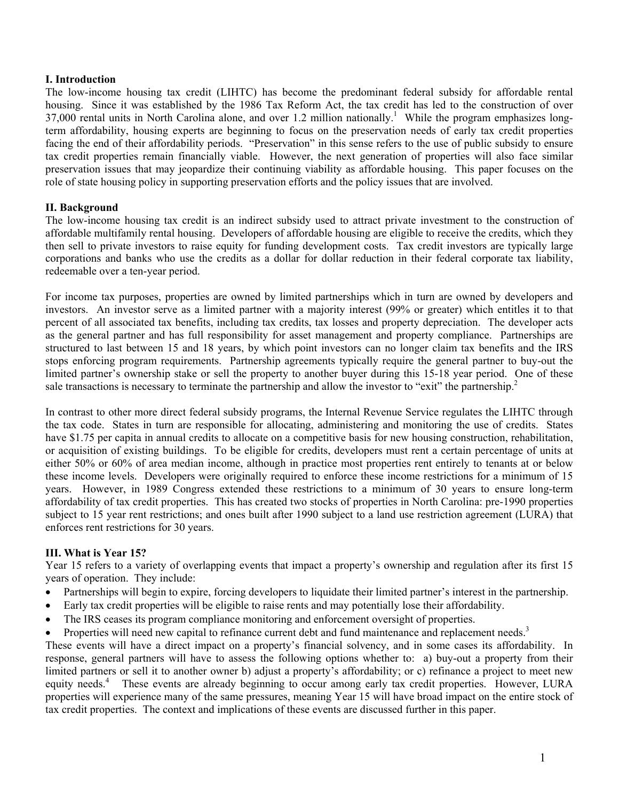### **I. Introduction**

The low-income housing tax credit (LIHTC) has become the predominant federal subsidy for affordable rental housing. Since it was established by the 1986 Tax Reform Act, the tax credit has led to the construction of over 37,000 rental units in North Carolina alone, and over 1.2 million nationally.<sup>1</sup> While the program emphasizes longterm affordability, housing experts are beginning to focus on the preservation needs of early tax credit properties facing the end of their affordability periods. "Preservation" in this sense refers to the use of public subsidy to ensure tax credit properties remain financially viable. However, the next generation of properties will also face similar preservation issues that may jeopardize their continuing viability as affordable housing. This paper focuses on the role of state housing policy in supporting preservation efforts and the policy issues that are involved.

# **II. Background**

The low-income housing tax credit is an indirect subsidy used to attract private investment to the construction of affordable multifamily rental housing. Developers of affordable housing are eligible to receive the credits, which they then sell to private investors to raise equity for funding development costs. Tax credit investors are typically large corporations and banks who use the credits as a dollar for dollar reduction in their federal corporate tax liability, redeemable over a ten-year period.

For income tax purposes, properties are owned by limited partnerships which in turn are owned by developers and investors. An investor serve as a limited partner with a majority interest (99% or greater) which entitles it to that percent of all associated tax benefits, including tax credits, tax losses and property depreciation. The developer acts as the general partner and has full responsibility for asset management and property compliance. Partnerships are structured to last between 15 and 18 years, by which point investors can no longer claim tax benefits and the IRS stops enforcing program requirements. Partnership agreements typically require the general partner to buy-out the limited partner's ownership stake or sell the property to another buyer during this 15-18 year period. One of these sale transactions is necessary to terminate the partnership and allow the investor to "exit" the partnership.<sup>2</sup>

In contrast to other more direct federal subsidy programs, the Internal Revenue Service regulates the LIHTC through the tax code. States in turn are responsible for allocating, administering and monitoring the use of credits. States have \$1.75 per capita in annual credits to allocate on a competitive basis for new housing construction, rehabilitation, or acquisition of existing buildings. To be eligible for credits, developers must rent a certain percentage of units at either 50% or 60% of area median income, although in practice most properties rent entirely to tenants at or below these income levels. Developers were originally required to enforce these income restrictions for a minimum of 15 years. However, in 1989 Congress extended these restrictions to a minimum of 30 years to ensure long-term affordability of tax credit properties. This has created two stocks of properties in North Carolina: pre-1990 properties subject to 15 year rent restrictions; and ones built after 1990 subject to a land use restriction agreement (LURA) that enforces rent restrictions for 30 years.

### **III. What is Year 15?**

Year 15 refers to a variety of overlapping events that impact a property's ownership and regulation after its first 15 years of operation. They include:

- Partnerships will begin to expire, forcing developers to liquidate their limited partner's interest in the partnership.
- Early tax credit properties will be eligible to raise rents and may potentially lose their affordability.
- The IRS ceases its program compliance monitoring and enforcement oversight of properties.
- Properties will need new capital to refinance current debt and fund maintenance and replacement needs.<sup>3</sup>

These events will have a direct impact on a property's financial solvency, and in some cases its affordability. In response, general partners will have to assess the following options whether to: a) buy-out a property from their limited partners or sell it to another owner b) adjust a property's affordability; or c) refinance a project to meet new equity needs.<sup>4</sup> These events are already beginning to occur among early tax credit properties. However, LURA properties will experience many of the same pressures, meaning Year 15 will have broad impact on the entire stock of tax credit properties. The context and implications of these events are discussed further in this paper.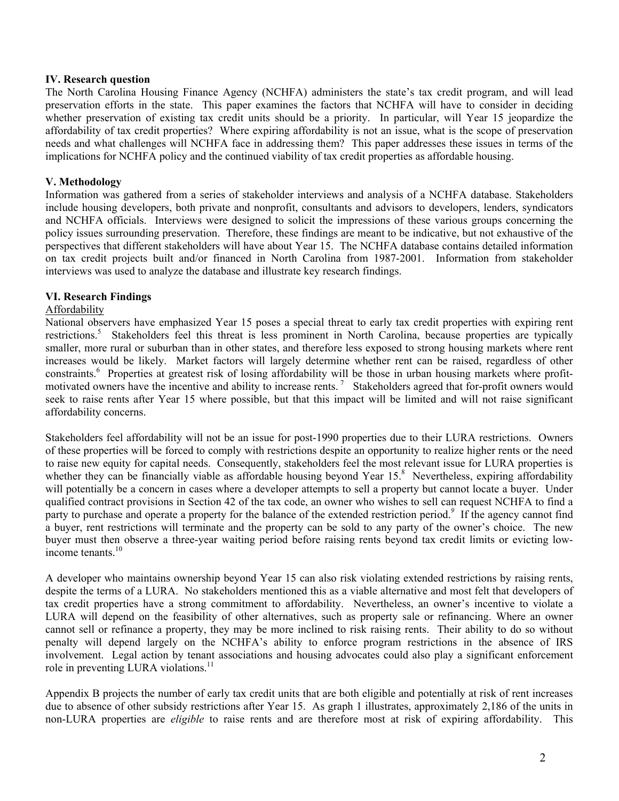### **IV. Research question**

The North Carolina Housing Finance Agency (NCHFA) administers the state's tax credit program, and will lead preservation efforts in the state. This paper examines the factors that NCHFA will have to consider in deciding whether preservation of existing tax credit units should be a priority. In particular, will Year 15 jeopardize the affordability of tax credit properties? Where expiring affordability is not an issue, what is the scope of preservation needs and what challenges will NCHFA face in addressing them? This paper addresses these issues in terms of the implications for NCHFA policy and the continued viability of tax credit properties as affordable housing.

# **V. Methodology**

Information was gathered from a series of stakeholder interviews and analysis of a NCHFA database. Stakeholders include housing developers, both private and nonprofit, consultants and advisors to developers, lenders, syndicators and NCHFA officials. Interviews were designed to solicit the impressions of these various groups concerning the policy issues surrounding preservation. Therefore, these findings are meant to be indicative, but not exhaustive of the perspectives that different stakeholders will have about Year 15. The NCHFA database contains detailed information on tax credit projects built and/or financed in North Carolina from 1987-2001. Information from stakeholder interviews was used to analyze the database and illustrate key research findings.

# **VI. Research Findings**

# Affordability

National observers have emphasized Year 15 poses a special threat to early tax credit properties with expiring rent restrictions.<sup>5</sup> Stakeholders feel this threat is less prominent in North Carolina, because properties are typically smaller, more rural or suburban than in other states, and therefore less exposed to strong housing markets where rent increases would be likely. Market factors will largely determine whether rent can be raised, regardless of other constraints.<sup>6</sup> Properties at greatest risk of losing affordability will be those in urban housing markets where profitmotivated owners have the incentive and ability to increase rents.<sup>7</sup> Stakeholders agreed that for-profit owners would seek to raise rents after Year 15 where possible, but that this impact will be limited and will not raise significant affordability concerns.

Stakeholders feel affordability will not be an issue for post-1990 properties due to their LURA restrictions. Owners of these properties will be forced to comply with restrictions despite an opportunity to realize higher rents or the need to raise new equity for capital needs. Consequently, stakeholders feel the most relevant issue for LURA properties is whether they can be financially viable as affordable housing beyond Year 15.<sup>8</sup> Nevertheless, expiring affordability will potentially be a concern in cases where a developer attempts to sell a property but cannot locate a buyer. Under qualified contract provisions in Section 42 of the tax code, an owner who wishes to sell can request NCHFA to find a party to purchase and operate a property for the balance of the extended restriction period.<sup>9</sup> If the agency cannot find a buyer, rent restrictions will terminate and the property can be sold to any party of the owner's choice. The new buyer must then observe a three-year waiting period before raising rents beyond tax credit limits or evicting lowincome tenants.<sup>10</sup>

A developer who maintains ownership beyond Year 15 can also risk violating extended restrictions by raising rents, despite the terms of a LURA. No stakeholders mentioned this as a viable alternative and most felt that developers of tax credit properties have a strong commitment to affordability. Nevertheless, an owner's incentive to violate a LURA will depend on the feasibility of other alternatives, such as property sale or refinancing. Where an owner cannot sell or refinance a property, they may be more inclined to risk raising rents. Their ability to do so without penalty will depend largely on the NCHFA's ability to enforce program restrictions in the absence of IRS involvement. Legal action by tenant associations and housing advocates could also play a significant enforcement role in preventing LURA violations.<sup>11</sup>

Appendix B projects the number of early tax credit units that are both eligible and potentially at risk of rent increases due to absence of other subsidy restrictions after Year 15. As graph 1 illustrates, approximately 2,186 of the units in non-LURA properties are *eligible* to raise rents and are therefore most at risk of expiring affordability. This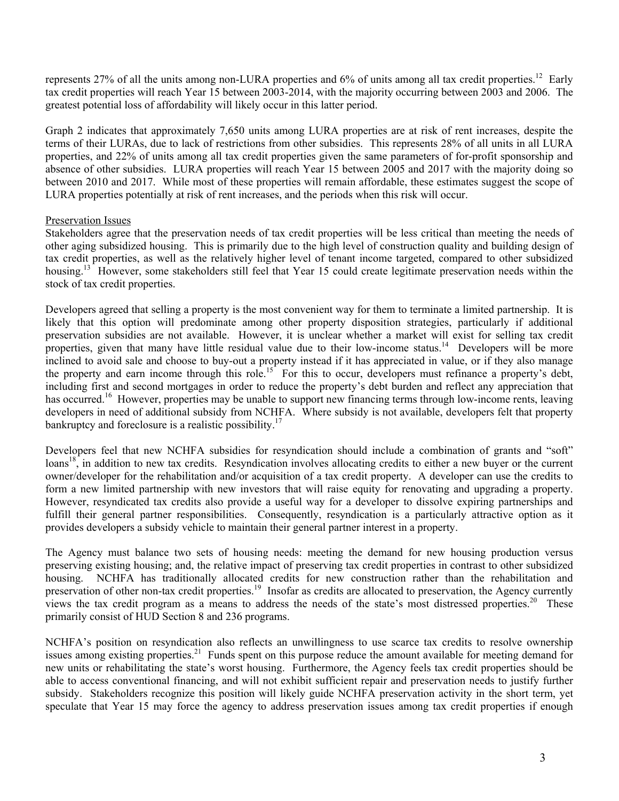represents 27% of all the units among non-LURA properties and 6% of units among all tax credit properties.<sup>12</sup> Early tax credit properties will reach Year 15 between 2003-2014, with the majority occurring between 2003 and 2006. The greatest potential loss of affordability will likely occur in this latter period.

Graph 2 indicates that approximately 7,650 units among LURA properties are at risk of rent increases, despite the terms of their LURAs, due to lack of restrictions from other subsidies. This represents 28% of all units in all LURA properties, and 22% of units among all tax credit properties given the same parameters of for-profit sponsorship and absence of other subsidies. LURA properties will reach Year 15 between 2005 and 2017 with the majority doing so between 2010 and 2017. While most of these properties will remain affordable, these estimates suggest the scope of LURA properties potentially at risk of rent increases, and the periods when this risk will occur.

# Preservation Issues

Stakeholders agree that the preservation needs of tax credit properties will be less critical than meeting the needs of other aging subsidized housing. This is primarily due to the high level of construction quality and building design of tax credit properties, as well as the relatively higher level of tenant income targeted, compared to other subsidized housing.<sup>13</sup> However, some stakeholders still feel that Year 15 could create legitimate preservation needs within the stock of tax credit properties.

Developers agreed that selling a property is the most convenient way for them to terminate a limited partnership. It is likely that this option will predominate among other property disposition strategies, particularly if additional preservation subsidies are not available. However, it is unclear whether a market will exist for selling tax credit properties, given that many have little residual value due to their low-income status.<sup>14</sup> Developers will be more inclined to avoid sale and choose to buy-out a property instead if it has appreciated in value, or if they also manage the property and earn income through this role.<sup>15</sup> For this to occur, developers must refinance a property's debt, including first and second mortgages in order to reduce the property's debt burden and reflect any appreciation that has occurred.<sup>16</sup> However, properties may be unable to support new financing terms through low-income rents, leaving developers in need of additional subsidy from NCHFA. Where subsidy is not available, developers felt that property bankruptcy and foreclosure is a realistic possibility.<sup>17</sup>

Developers feel that new NCHFA subsidies for resyndication should include a combination of grants and "soft"  $\text{loans}^{18}$ , in addition to new tax credits. Resyndication involves allocating credits to either a new buyer or the current owner/developer for the rehabilitation and/or acquisition of a tax credit property. A developer can use the credits to form a new limited partnership with new investors that will raise equity for renovating and upgrading a property. However, resyndicated tax credits also provide a useful way for a developer to dissolve expiring partnerships and fulfill their general partner responsibilities. Consequently, resyndication is a particularly attractive option as it provides developers a subsidy vehicle to maintain their general partner interest in a property.

The Agency must balance two sets of housing needs: meeting the demand for new housing production versus preserving existing housing; and, the relative impact of preserving tax credit properties in contrast to other subsidized housing. NCHFA has traditionally allocated credits for new construction rather than the rehabilitation and preservation of other non-tax credit properties.<sup>19</sup> Insofar as credits are allocated to preservation, the Agency currently views the tax credit program as a means to address the needs of the state's most distressed properties.<sup>20</sup> These primarily consist of HUD Section 8 and 236 programs.

NCHFA's position on resyndication also reflects an unwillingness to use scarce tax credits to resolve ownership issues among existing properties.<sup>21</sup> Funds spent on this purpose reduce the amount available for meeting demand for new units or rehabilitating the state's worst housing. Furthermore, the Agency feels tax credit properties should be able to access conventional financing, and will not exhibit sufficient repair and preservation needs to justify further subsidy. Stakeholders recognize this position will likely guide NCHFA preservation activity in the short term, yet speculate that Year 15 may force the agency to address preservation issues among tax credit properties if enough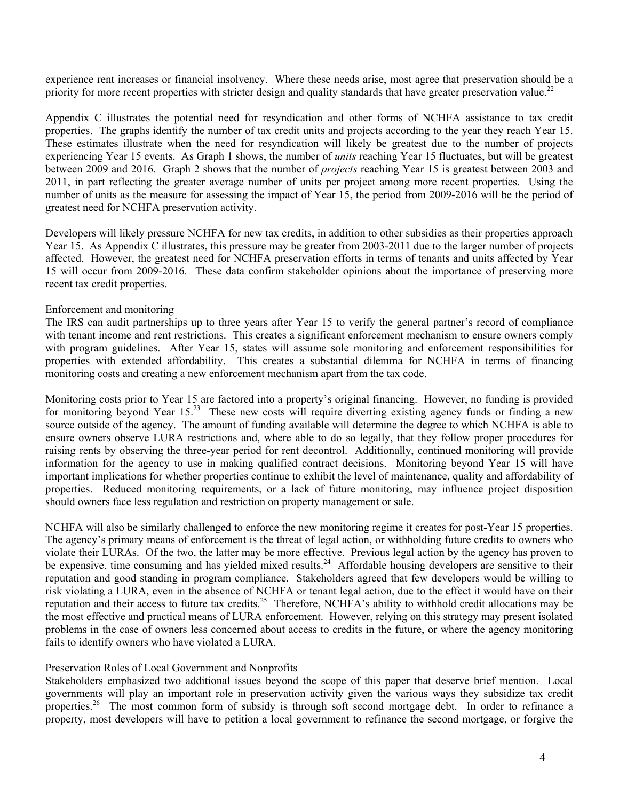experience rent increases or financial insolvency. Where these needs arise, most agree that preservation should be a priority for more recent properties with stricter design and quality standards that have greater preservation value.<sup>22</sup>

Appendix C illustrates the potential need for resyndication and other forms of NCHFA assistance to tax credit properties. The graphs identify the number of tax credit units and projects according to the year they reach Year 15. These estimates illustrate when the need for resyndication will likely be greatest due to the number of projects experiencing Year 15 events. As Graph 1 shows, the number of *units* reaching Year 15 fluctuates, but will be greatest between 2009 and 2016. Graph 2 shows that the number of *projects* reaching Year 15 is greatest between 2003 and 2011, in part reflecting the greater average number of units per project among more recent properties. Using the number of units as the measure for assessing the impact of Year 15, the period from 2009-2016 will be the period of greatest need for NCHFA preservation activity.

Developers will likely pressure NCHFA for new tax credits, in addition to other subsidies as their properties approach Year 15. As Appendix C illustrates, this pressure may be greater from 2003-2011 due to the larger number of projects affected. However, the greatest need for NCHFA preservation efforts in terms of tenants and units affected by Year 15 will occur from 2009-2016. These data confirm stakeholder opinions about the importance of preserving more recent tax credit properties.

# Enforcement and monitoring

The IRS can audit partnerships up to three years after Year 15 to verify the general partner's record of compliance with tenant income and rent restrictions. This creates a significant enforcement mechanism to ensure owners comply with program guidelines. After Year 15, states will assume sole monitoring and enforcement responsibilities for properties with extended affordability. This creates a substantial dilemma for NCHFA in terms of financing monitoring costs and creating a new enforcement mechanism apart from the tax code.

Monitoring costs prior to Year 15 are factored into a property's original financing. However, no funding is provided for monitoring beyond Year 15.<sup>23</sup> These new costs will require diverting existing agency funds or finding a new source outside of the agency. The amount of funding available will determine the degree to which NCHFA is able to ensure owners observe LURA restrictions and, where able to do so legally, that they follow proper procedures for raising rents by observing the three-year period for rent decontrol. Additionally, continued monitoring will provide information for the agency to use in making qualified contract decisions. Monitoring beyond Year 15 will have important implications for whether properties continue to exhibit the level of maintenance, quality and affordability of properties. Reduced monitoring requirements, or a lack of future monitoring, may influence project disposition should owners face less regulation and restriction on property management or sale.

NCHFA will also be similarly challenged to enforce the new monitoring regime it creates for post-Year 15 properties. The agency's primary means of enforcement is the threat of legal action, or withholding future credits to owners who violate their LURAs. Of the two, the latter may be more effective. Previous legal action by the agency has proven to be expensive, time consuming and has yielded mixed results.<sup>24</sup> Affordable housing developers are sensitive to their reputation and good standing in program compliance. Stakeholders agreed that few developers would be willing to risk violating a LURA, even in the absence of NCHFA or tenant legal action, due to the effect it would have on their reputation and their access to future tax credits.<sup>25</sup> Therefore, NCHFA's ability to withhold credit allocations may be the most effective and practical means of LURA enforcement. However, relying on this strategy may present isolated problems in the case of owners less concerned about access to credits in the future, or where the agency monitoring fails to identify owners who have violated a LURA.

### Preservation Roles of Local Government and Nonprofits

Stakeholders emphasized two additional issues beyond the scope of this paper that deserve brief mention. Local governments will play an important role in preservation activity given the various ways they subsidize tax credit properties.<sup>26</sup> The most common form of subsidy is through soft second mortgage debt. In order to refinance a property, most developers will have to petition a local government to refinance the second mortgage, or forgive the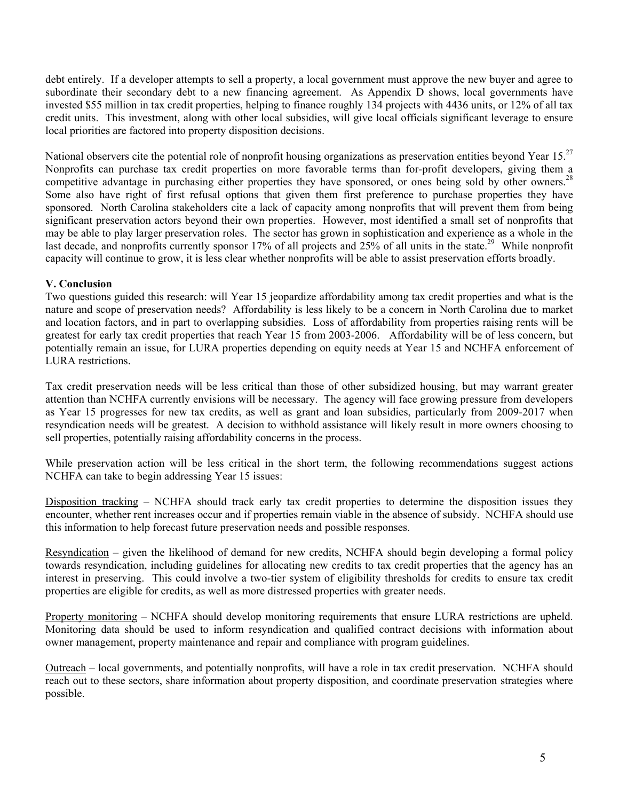debt entirely. If a developer attempts to sell a property, a local government must approve the new buyer and agree to subordinate their secondary debt to a new financing agreement. As Appendix D shows, local governments have invested \$55 million in tax credit properties, helping to finance roughly 134 projects with 4436 units, or 12% of all tax credit units. This investment, along with other local subsidies, will give local officials significant leverage to ensure local priorities are factored into property disposition decisions.

National observers cite the potential role of nonprofit housing organizations as preservation entities beyond Year  $15^{27}$ Nonprofits can purchase tax credit properties on more favorable terms than for-profit developers, giving them a competitive advantage in purchasing either properties they have sponsored, or ones being sold by other owners.<sup>28</sup> Some also have right of first refusal options that given them first preference to purchase properties they have sponsored. North Carolina stakeholders cite a lack of capacity among nonprofits that will prevent them from being significant preservation actors beyond their own properties. However, most identified a small set of nonprofits that may be able to play larger preservation roles. The sector has grown in sophistication and experience as a whole in the last decade, and nonprofits currently sponsor 17% of all projects and  $25\%$  of all units in the state.<sup>29</sup> While nonprofit capacity will continue to grow, it is less clear whether nonprofits will be able to assist preservation efforts broadly.

# **V. Conclusion**

Two questions guided this research: will Year 15 jeopardize affordability among tax credit properties and what is the nature and scope of preservation needs? Affordability is less likely to be a concern in North Carolina due to market and location factors, and in part to overlapping subsidies. Loss of affordability from properties raising rents will be greatest for early tax credit properties that reach Year 15 from 2003-2006. Affordability will be of less concern, but potentially remain an issue, for LURA properties depending on equity needs at Year 15 and NCHFA enforcement of LURA restrictions.

Tax credit preservation needs will be less critical than those of other subsidized housing, but may warrant greater attention than NCHFA currently envisions will be necessary. The agency will face growing pressure from developers as Year 15 progresses for new tax credits, as well as grant and loan subsidies, particularly from 2009-2017 when resyndication needs will be greatest. A decision to withhold assistance will likely result in more owners choosing to sell properties, potentially raising affordability concerns in the process.

While preservation action will be less critical in the short term, the following recommendations suggest actions NCHFA can take to begin addressing Year 15 issues:

Disposition tracking – NCHFA should track early tax credit properties to determine the disposition issues they encounter, whether rent increases occur and if properties remain viable in the absence of subsidy. NCHFA should use this information to help forecast future preservation needs and possible responses.

Resyndication – given the likelihood of demand for new credits, NCHFA should begin developing a formal policy towards resyndication, including guidelines for allocating new credits to tax credit properties that the agency has an interest in preserving. This could involve a two-tier system of eligibility thresholds for credits to ensure tax credit properties are eligible for credits, as well as more distressed properties with greater needs.

Property monitoring – NCHFA should develop monitoring requirements that ensure LURA restrictions are upheld. Monitoring data should be used to inform resyndication and qualified contract decisions with information about owner management, property maintenance and repair and compliance with program guidelines.

Outreach – local governments, and potentially nonprofits, will have a role in tax credit preservation. NCHFA should reach out to these sectors, share information about property disposition, and coordinate preservation strategies where possible.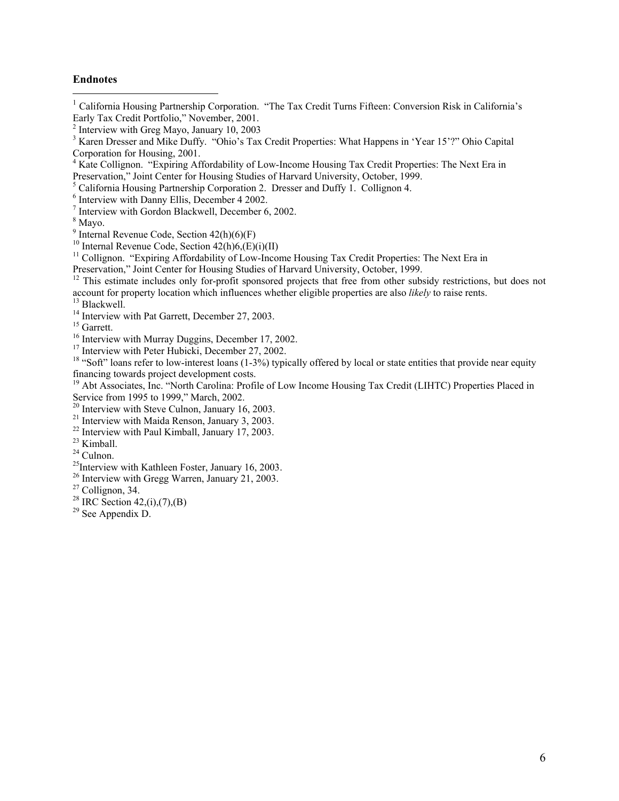#### **Endnotes**

 $\overline{a}$ 

<sup>1</sup> California Housing Partnership Corporation. "The Tax Credit Turns Fifteen: Conversion Risk in California's Early Tax Credit Portfolio," November, 2001.

<sup>5</sup> California Housing Partnership Corporation 2. Dresser and Duffy 1. Collignon 4.

Interview with Gordon Blackwell, December 6, 2002.

 $8$  Mayo.

<sup>9</sup> Internal Revenue Code, Section  $42(h)(6)(F)$ 

<sup>10</sup> Internal Revenue Code, Section  $42(h)6(E)(i)(II)$ 

<sup>11</sup> Collignon. "Expiring Affordability of Low-Income Housing Tax Credit Properties: The Next Era in Preservation," Joint Center for Housing Studies of Harvard University, October, 1999.

<sup>12</sup> This estimate includes only for-profit sponsored projects that free from other subsidy restrictions, but does not account for property location which influences whether eligible properties are also *likely* to raise rents. 13 Blackwell.

<sup>14</sup> Interview with Pat Garrett, December 27, 2003.

<sup>15</sup> Garrett.<br><sup>16</sup> Interview with Murray Duggins, December 17, 2002.

<sup>17</sup> Interview with Peter Hubicki, December 27, 2002.<br><sup>18</sup> "Soft" loans refer to low-interest loans (1-3%) typically offered by local or state entities that provide near equity financing towards project development costs.

<sup>19</sup> Abt Associates, Inc. "North Carolina: Profile of Low Income Housing Tax Credit (LIHTC) Properties Placed in Service from 1995 to 1999," March, 2002.

<sup>20</sup> Interview with Steve Culnon, January 16, 2003.

<sup>21</sup> Interview with Maida Renson, January 3, 2003.

 $22$  Interview with Paul Kimball, January 17, 2003.

<sup>23</sup> Kimball.

24 Culnon.

 $^{25}$ Interview with Kathleen Foster, January 16, 2003.

26 Interview with Gregg Warren, January 21, 2003.

<sup>28</sup> IRC Section 42,(i),(7),(B)

29 See Appendix D.

<sup>&</sup>lt;sup>2</sup> Interview with Greg Mayo, January 10, 2003

<sup>&</sup>lt;sup>3</sup> Karen Dresser and Mike Duffy. "Ohio's Tax Credit Properties: What Happens in 'Year 15'?" Ohio Capital Corporation for Housing, 2001.

<sup>&</sup>lt;sup>4</sup> Kate Collignon. "Expiring Affordability of Low-Income Housing Tax Credit Properties: The Next Era in Preservation," Joint Center for Housing Studies of Harvard University, October, 1999.

<sup>6</sup> Interview with Danny Ellis, December 4 2002.

 $27$  Collignon, 34.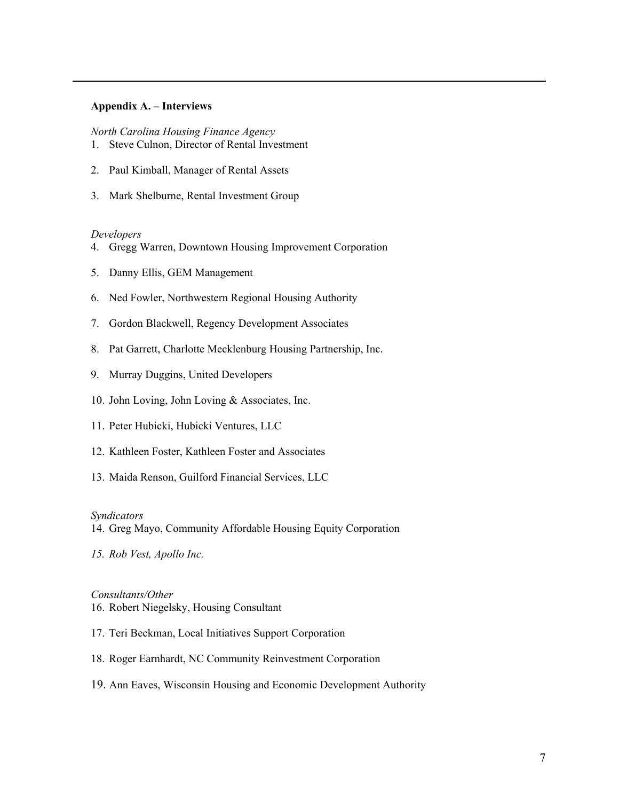#### **Appendix A. – Interviews**

*North Carolina Housing Finance Agency*  1. Steve Culnon, Director of Rental Investment

- 2. Paul Kimball, Manager of Rental Assets
- 3. Mark Shelburne, Rental Investment Group

#### *Developers*

 $\overline{a}$ 

- 4. Gregg Warren, Downtown Housing Improvement Corporation
- 5. Danny Ellis, GEM Management
- 6. Ned Fowler, Northwestern Regional Housing Authority
- 7. Gordon Blackwell, Regency Development Associates
- 8. Pat Garrett, Charlotte Mecklenburg Housing Partnership, Inc.
- 9. Murray Duggins, United Developers
- 10. John Loving, John Loving & Associates, Inc.
- 11. Peter Hubicki, Hubicki Ventures, LLC
- 12. Kathleen Foster, Kathleen Foster and Associates
- 13. Maida Renson, Guilford Financial Services, LLC

#### *Syndicators*

14. Greg Mayo, Community Affordable Housing Equity Corporation

*15. Rob Vest, Apollo Inc.* 

#### *Consultants/Other*

- 16. Robert Niegelsky, Housing Consultant
- 17. Teri Beckman, Local Initiatives Support Corporation
- 18. Roger Earnhardt, NC Community Reinvestment Corporation
- 19. Ann Eaves, Wisconsin Housing and Economic Development Authority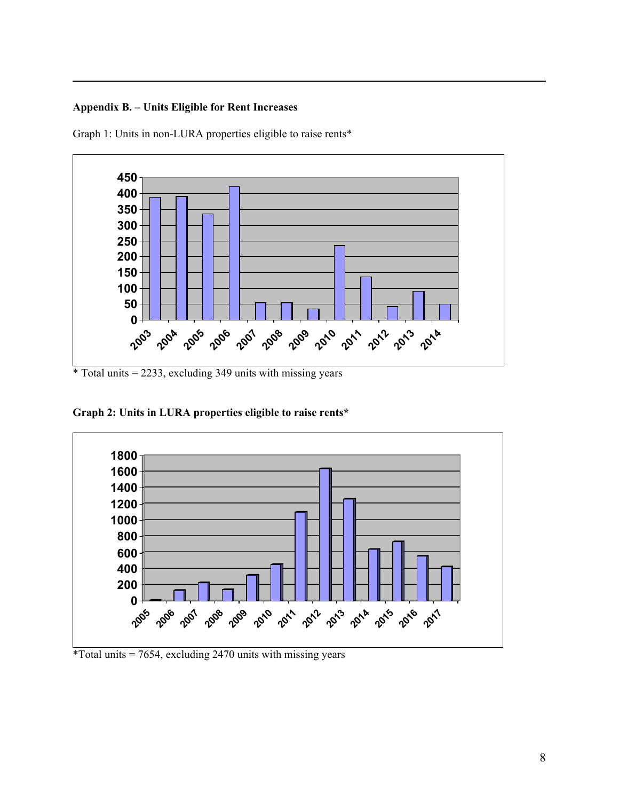# **Appendix B. – Units Eligible for Rent Increases**

 $\overline{a}$ 

Graph 1: Units in non-LURA properties eligible to raise rents\*



 $*$  Total units = 2233, excluding 349 units with missing years

**Graph 2: Units in LURA properties eligible to raise rents\*** 



\*Total units  $= 7654$ , excluding 2470 units with missing years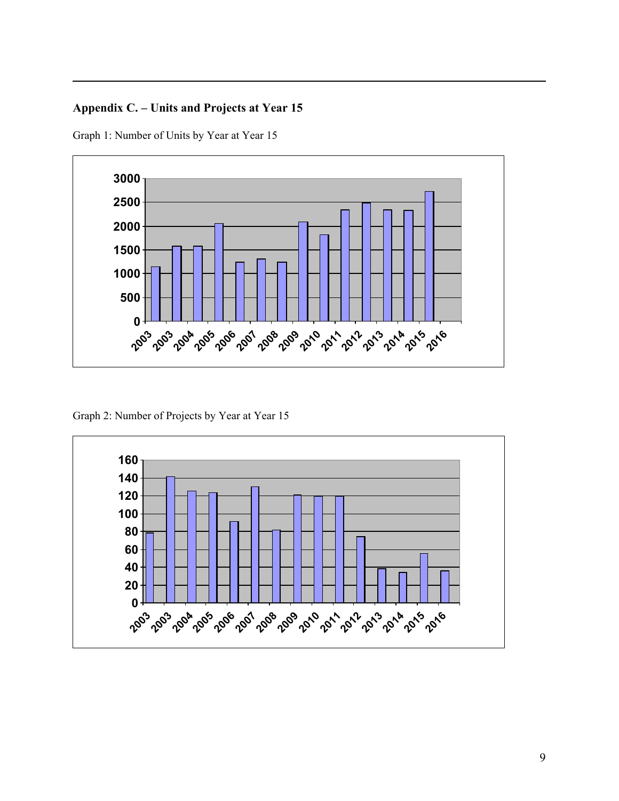# **Appendix C. – Units and Projects at Year 15**

Graph 1: Number of Units by Year at Year 15

 $\overline{a}$ 



Graph 2: Number of Projects by Year at Year 15

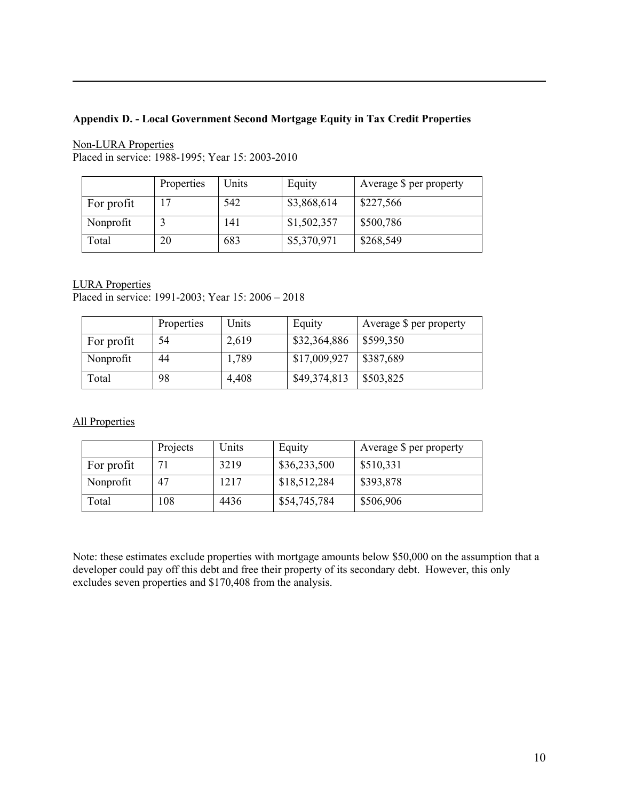# **Appendix D. - Local Government Second Mortgage Equity in Tax Credit Properties**

Non-LURA Properties Placed in service: 1988-1995; Year 15: 2003-2010

|            | Properties | Units | Equity      | Average \$ per property |
|------------|------------|-------|-------------|-------------------------|
| For profit | 17         | 542   | \$3,868,614 | \$227,566               |
| Nonprofit  |            | 141   | \$1,502,357 | \$500,786               |
| Total      | 20         | 683   | \$5,370,971 | \$268,549               |

LURA Properties

 $\overline{a}$ 

Placed in service: 1991-2003; Year 15: 2006 – 2018

|            | Properties | Units | Equity       | Average \$ per property |
|------------|------------|-------|--------------|-------------------------|
| For profit | 54         | 2,619 | \$32,364,886 | \$599,350               |
| Nonprofit  | 44         | 1,789 | \$17,009,927 | \$387,689               |
| Total      | 98         | 4,408 | \$49,374,813 | \$503,825               |

All Properties

|            | Projects | Units | Equity       | Average \$ per property |
|------------|----------|-------|--------------|-------------------------|
| For profit |          | 3219  | \$36,233,500 | \$510,331               |
| Nonprofit  | 47       | 1217  | \$18,512,284 | \$393,878               |
| Total      | 08       | 4436  | \$54,745,784 | \$506,906               |

Note: these estimates exclude properties with mortgage amounts below \$50,000 on the assumption that a developer could pay off this debt and free their property of its secondary debt. However, this only excludes seven properties and \$170,408 from the analysis.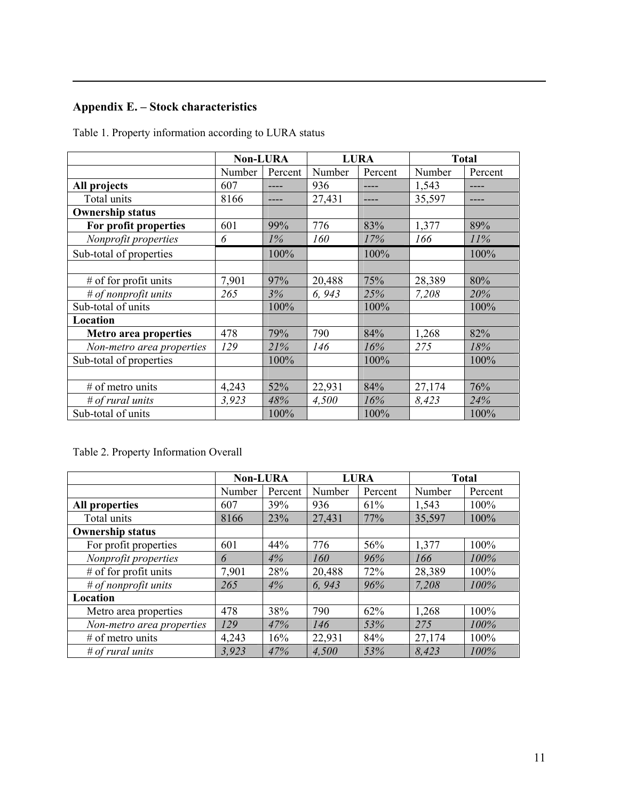# **Appendix E. – Stock characteristics**

 $\overline{a}$ 

Table 1. Property information according to LURA status

|                           | <b>Non-LURA</b> |         | <b>LURA</b> |         | <b>Total</b> |         |
|---------------------------|-----------------|---------|-------------|---------|--------------|---------|
|                           | Number          | Percent | Number      | Percent | Number       | Percent |
| All projects              | 607             |         | 936         |         | 1,543        |         |
| Total units               | 8166            |         | 27,431      |         | 35,597       |         |
| <b>Ownership status</b>   |                 |         |             |         |              |         |
| For profit properties     | 601             | 99%     | 776         | 83%     | 1,377        | 89%     |
| Nonprofit properties      | 6               | $1\%$   | 160         | 17%     | 166          | 11%     |
| Sub-total of properties   |                 | 100%    |             | 100%    |              | 100%    |
|                           |                 |         |             |         |              |         |
| $#$ of for profit units   | 7,901           | 97%     | 20,488      | 75%     | 28,389       | 80%     |
| # of nonprofit units      | 265             | 3%      | 6, 943      | 25%     | 7,208        | 20%     |
| Sub-total of units        |                 | 100%    |             | 100%    |              | 100%    |
| Location                  |                 |         |             |         |              |         |
| Metro area properties     | 478             | 79%     | 790         | 84%     | 1,268        | 82%     |
| Non-metro area properties | 129             | 21%     | 146         | 16%     | 275          | 18%     |
| Sub-total of properties   |                 | 100%    |             | 100%    |              | 100%    |
|                           |                 |         |             |         |              |         |
| $#$ of metro units        | 4,243           | 52%     | 22,931      | 84%     | 27,174       | 76%     |
| $#$ of rural units        | 3,923           | 48%     | 4,500       | 16%     | 8,423        | 24%     |
| Sub-total of units        |                 | 100%    |             | 100%    |              | 100%    |

Table 2. Property Information Overall

|                           | <b>Non-LURA</b> |         | <b>LURA</b> |         | <b>Total</b> |         |
|---------------------------|-----------------|---------|-------------|---------|--------------|---------|
|                           | Number          | Percent | Number      | Percent | Number       | Percent |
| <b>All properties</b>     | 607             | 39%     | 936         | 61%     | 1,543        | 100%    |
| Total units               | 8166            | 23%     | 27,431      | 77%     | 35,597       | 100%    |
| <b>Ownership status</b>   |                 |         |             |         |              |         |
| For profit properties     | 601             | 44%     | 776         | 56%     | 1,377        | 100%    |
| Nonprofit properties      | 6               | 4%      | 160         | 96%     | 166          | 100%    |
| $#$ of for profit units   | 7,901           | 28%     | 20,488      | 72%     | 28,389       | 100%    |
| # of nonprofit units      | 265             | 4%      | 6, 943      | 96%     | 7,208        | 100%    |
| Location                  |                 |         |             |         |              |         |
| Metro area properties     | 478             | 38%     | 790         | 62%     | 1,268        | 100%    |
| Non-metro area properties | 129             | 47%     | 146         | 53%     | 275          | 100%    |
| $#$ of metro units        | 4,243           | 16%     | 22,931      | 84%     | 27,174       | 100%    |
| $#$ of rural units        | 3.923           | 47%     | 4.500       | 53%     | 8.423        | 100%    |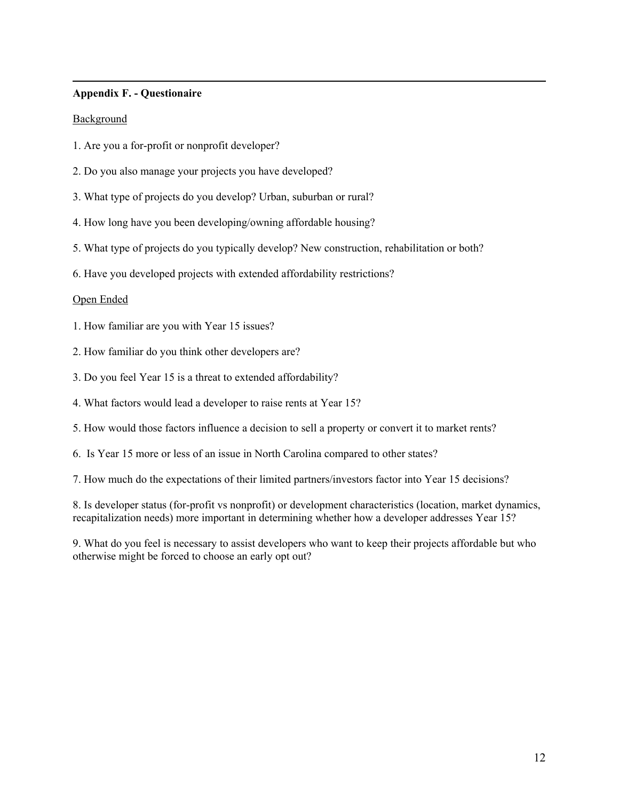### **Appendix F. - Questionaire**

### Background

 $\overline{a}$ 

- 1. Are you a for-profit or nonprofit developer?
- 2. Do you also manage your projects you have developed?
- 3. What type of projects do you develop? Urban, suburban or rural?
- 4. How long have you been developing/owning affordable housing?
- 5. What type of projects do you typically develop? New construction, rehabilitation or both?
- 6. Have you developed projects with extended affordability restrictions?

### Open Ended

- 1. How familiar are you with Year 15 issues?
- 2. How familiar do you think other developers are?
- 3. Do you feel Year 15 is a threat to extended affordability?
- 4. What factors would lead a developer to raise rents at Year 15?
- 5. How would those factors influence a decision to sell a property or convert it to market rents?
- 6. Is Year 15 more or less of an issue in North Carolina compared to other states?
- 7. How much do the expectations of their limited partners/investors factor into Year 15 decisions?

8. Is developer status (for-profit vs nonprofit) or development characteristics (location, market dynamics, recapitalization needs) more important in determining whether how a developer addresses Year 15?

9. What do you feel is necessary to assist developers who want to keep their projects affordable but who otherwise might be forced to choose an early opt out?